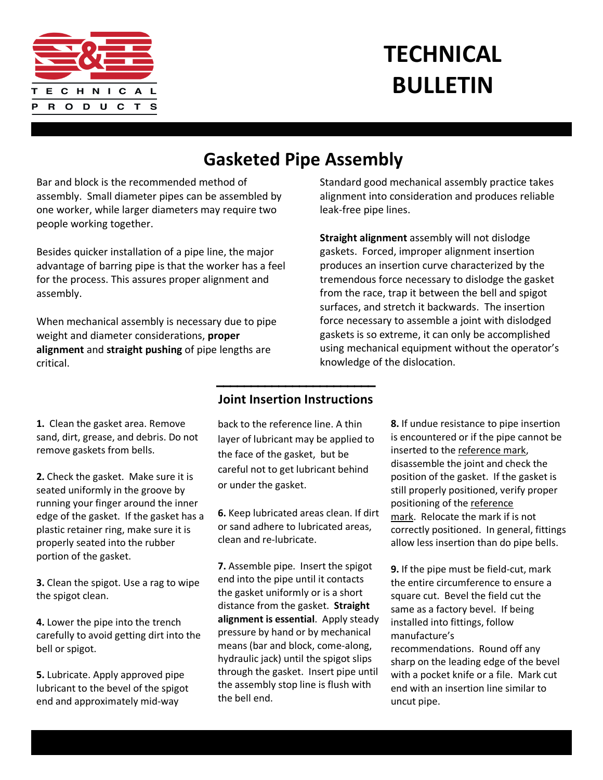

## **TECHNICAL BULLETIN**

## **Gasketed Pipe Assembly**

Bar and block is the recommended method of assembly. Small diameter pipes can be assembled by one worker, while larger diameters may require two people working together.

Besides quicker installation of a pipe line, the major advantage of barring pipe is that the worker has a feel for the process. This assures proper alignment and assembly.

When mechanical assembly is necessary due to pipe weight and diameter considerations, **proper alignment** and **straight pushing** of pipe lengths are critical.

## Standard good mechanical assembly practice takes alignment into consideration and produces reliable leak-free pipe lines.

**Straight alignment** assembly will not dislodge gaskets. Forced, improper alignment insertion produces an insertion curve characterized by the tremendous force necessary to dislodge the gasket from the race, trap it between the bell and spigot surfaces, and stretch it backwards. The insertion force necessary to assemble a joint with dislodged gaskets is so extreme, it can only be accomplished using mechanical equipment without the operator's knowledge of the dislocation.

**1.** Clean the gasket area. Remove sand, dirt, grease, and debris. Do not remove gaskets from bells.

**2.** Check the gasket. Make sure it is seated uniformly in the groove by running your finger around the inner edge of the gasket. If the gasket has a plastic retainer ring, make sure it is properly seated into the rubber portion of the gasket.

**3.** Clean the spigot. Use a rag to wipe the spigot clean.

**4.** Lower the pipe into the trench carefully to avoid getting dirt into the bell or spigot.

**5.** Lubricate. Apply approved pipe lubricant to the bevel of the spigot end and approximately mid-way

## **Joint Insertion Instructions**

\_\_\_\_\_\_\_\_\_\_\_\_\_\_\_\_\_\_\_\_\_\_\_

back to the reference line. A thin layer of lubricant may be applied to the face of the gasket, but be careful not to get lubricant behind or under the gasket.

**6.** Keep lubricated areas clean. If dirt or sand adhere to lubricated areas, clean and re-lubricate.

**7.** Assemble pipe. Insert the spigot end into the pipe until it contacts the gasket uniformly or is a short distance from the gasket. **Straight alignment is essential**. Apply steady pressure by hand or by mechanical means (bar and block, come-along, hydraulic jack) until the spigot slips through the gasket. Insert pipe until the assembly stop line is flush with the bell end.

**8.** If undue resistance to pipe insertion is encountered or if the pipe cannot be inserted to the reference mark, disassemble the joint and check the position of the gasket. If the gasket is still properly positioned, verify proper positioning of the reference mark. Relocate the mark if is not correctly positioned. In general, fittings allow less insertion than do pipe bells.

**9.** If the pipe must be field-cut, mark the entire circumference to ensure a square cut. Bevel the field cut the same as a factory bevel. If being installed into fittings, follow manufacture's

recommendations. Round off any sharp on the leading edge of the bevel with a pocket knife or a file. Mark cut end with an insertion line similar to uncut pipe.